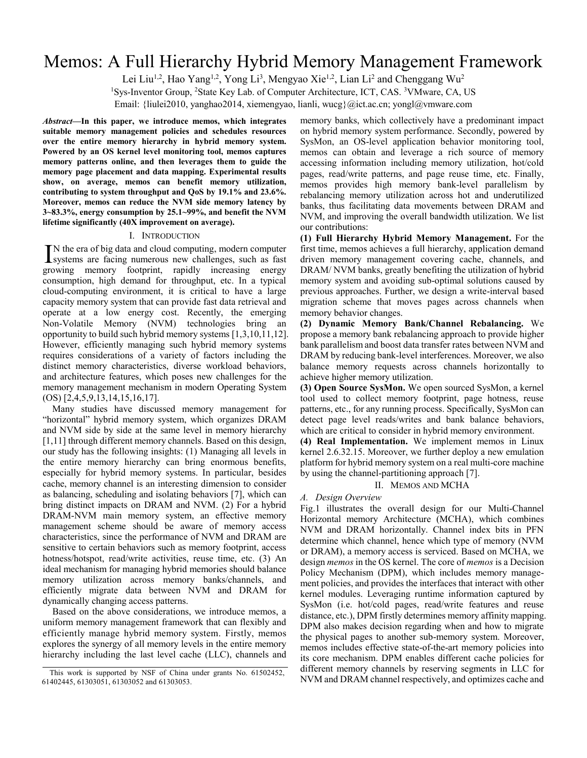# Memos: A Full Hierarchy Hybrid Memory Management Framework

Lei Liu<sup>1,2</sup>, Hao Yang<sup>1,2</sup>, Yong Li<sup>3</sup>, Mengyao Xie<sup>1,2</sup>, Lian Li<sup>2</sup> and Chenggang Wu<sup>2</sup>

<sup>1</sup>Sys-Inventor Group, <sup>2</sup>State Key Lab. of Computer Architecture, ICT, CAS. <sup>3</sup>VMware, CA, US Email: {liulei2010, yanghao2014, xiemengyao, lianli, wucg}@ict.ac.cn; yongl@ymware.com

*Abstract***—In this paper, we introduce memos, which integrates suitable memory management policies and schedules resources over the entire memory hierarchy in hybrid memory system. Powered by an OS kernel level monitoring tool, memos captures memory patterns online, and then leverages them to guide the memory page placement and data mapping. Experimental results show, on average, memos can benefit memory utilization, contributing to system throughput and QoS by 19.1% and 23.6%. Moreover, memos can reduce the NVM side memory latency by 3~83.3%, energy consumption by 25.1~99%, and benefit the NVM lifetime significantly (40X improvement on average).**

### I. INTRODUCTION

N the era of big data and cloud computing, modern computer IN the era of big data and cloud computing, modern computer<br>systems are facing numerous new challenges, such as fast growing memory footprint, rapidly increasing energy consumption, high demand for throughput, etc. In a typical cloud-computing environment, it is critical to have a large capacity memory system that can provide fast data retrieval and operate at a low energy cost. Recently, the emerging Non-Volatile Memory (NVM) technologies bring an opportunity to build such hybrid memory systems [1,3,10,11,12]. However, efficiently managing such hybrid memory systems requires considerations of a variety of factors including the distinct memory characteristics, diverse workload behaviors, and architecture features, which poses new challenges for the memory management mechanism in modern Operating System (OS) [2,4,5,9,13,14,15,16,17].

 Many studies have discussed memory management for "horizontal" hybrid memory system, which organizes DRAM and NVM side by side at the same level in memory hierarchy [1,11] through different memory channels. Based on this design, our study has the following insights: (1) Managing all levels in the entire memory hierarchy can bring enormous benefits, especially for hybrid memory systems. In particular, besides cache, memory channel is an interesting dimension to consider as balancing, scheduling and isolating behaviors [7], which can bring distinct impacts on DRAM and NVM. (2) For a hybrid DRAM-NVM main memory system, an effective memory management scheme should be aware of memory access characteristics, since the performance of NVM and DRAM are sensitive to certain behaviors such as memory footprint, access hotness/hotspot, read/write activities, reuse time, etc. (3) An ideal mechanism for managing hybrid memories should balance memory utilization across memory banks/channels, and efficiently migrate data between NVM and DRAM for dynamically changing access patterns.

Based on the above considerations, we introduce memos, a uniform memory management framework that can flexibly and efficiently manage hybrid memory system. Firstly, memos explores the synergy of all memory levels in the entire memory hierarchy including the last level cache (LLC), channels and memory banks, which collectively have a predominant impact on hybrid memory system performance. Secondly, powered by SysMon, an OS-level application behavior monitoring tool, memos can obtain and leverage a rich source of memory accessing information including memory utilization, hot/cold pages, read/write patterns, and page reuse time, etc. Finally, memos provides high memory bank-level parallelism by rebalancing memory utilization across hot and underutilized banks, thus facilitating data movements between DRAM and NVM, and improving the overall bandwidth utilization. We list our contributions:

**(1) Full Hierarchy Hybrid Memory Management.** For the first time, memos achieves a full hierarchy, application demand driven memory management covering cache, channels, and DRAM/ NVM banks, greatly benefiting the utilization of hybrid memory system and avoiding sub-optimal solutions caused by previous approaches. Further, we design a write-interval based migration scheme that moves pages across channels when memory behavior changes.

**(2) Dynamic Memory Bank/Channel Rebalancing.** We propose a memory bank rebalancing approach to provide higher bank parallelism and boost data transfer rates between NVM and DRAM by reducing bank-level interferences. Moreover, we also balance memory requests across channels horizontally to achieve higher memory utilization.

**(3) Open Source SysMon.** We open sourced SysMon, a kernel tool used to collect memory footprint, page hotness, reuse patterns, etc., for any running process. Specifically, SysMon can detect page level reads/writes and bank balance behaviors, which are critical to consider in hybrid memory environment.

**(4) Real Implementation.** We implement memos in Linux kernel 2.6.32.15. Moreover, we further deploy a new emulation platform for hybrid memory system on a real multi-core machine by using the channel-partitioning approach [7].

II. MEMOS AND MCHA

## *A. Design Overview*

Fig.1 illustrates the overall design for our Multi-Channel Horizontal memory Architecture (MCHA), which combines NVM and DRAM horizontally. Channel index bits in PFN determine which channel, hence which type of memory (NVM or DRAM), a memory access is serviced. Based on MCHA, we design *memos* in the OS kernel. The core of *memos* is a Decision Policy Mechanism (DPM), which includes memory management policies, and provides the interfaces that interact with other kernel modules. Leveraging runtime information captured by SysMon (i.e. hot/cold pages, read/write features and reuse distance, etc.), DPM firstly determines memory affinity mapping. DPM also makes decision regarding when and how to migrate the physical pages to another sub-memory system. Moreover, memos includes effective state-of-the-art memory policies into its core mechanism. DPM enables different cache policies for different memory channels by reserving segments in LLC for NVM and DRAM channel respectively, and optimizes cache and

This work is supported by NSF of China under grants No. 61502452, 61402445, 61303051, 61303052 and 61303053.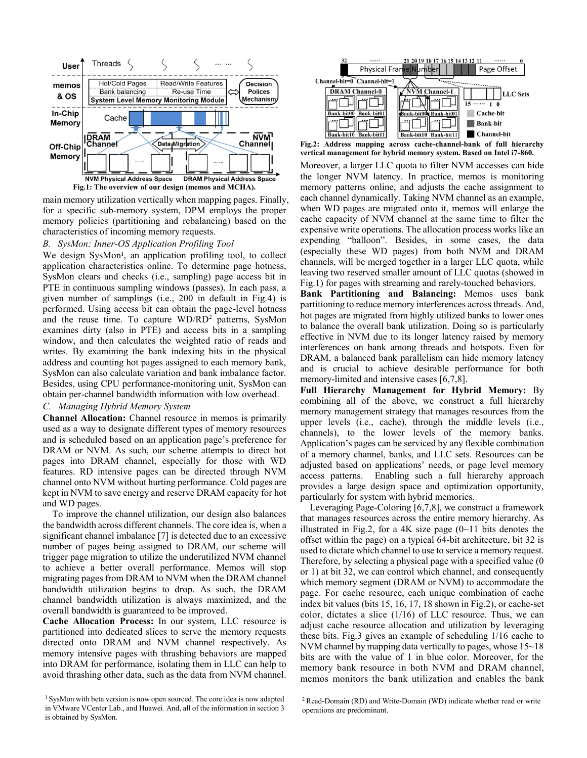

main memory utilization vertically when mapping pages. Finally, for a specific sub-memory system, DPM employs the proper memory policies (partitioning and rebalancing) based on the characteristics of incoming memory requests.

#### *B. SysMon: Inner-OS Application Profiling Tool*

We design SysMon**<sup>1</sup>** , an application profiling tool, to collect application characteristics online. To determine page hotness, SysMon clears and checks (i.e., sampling) page access bit in PTE in continuous sampling windows (passes). In each pass, a given number of samplings (i.e., 200 in default in Fig.4) is performed. Using access bit can obtain the page-level hotness and the reuse time. To capture  $WD/RD^2$  patterns, SysMon examines dirty (also in PTE) and access bits in a sampling window, and then calculates the weighted ratio of reads and writes. By examining the bank indexing bits in the physical address and counting hot pages assigned to each memory bank, SysMon can also calculate variation and bank imbalance factor. Besides, using CPU performance-monitoring unit, SysMon can obtain per-channel bandwidth information with low overhead.

## *C. Managing Hybrid Memory System*

**Channel Allocation:** Channel resource in memos is primarily used as a way to designate different types of memory resources and is scheduled based on an application page's preference for DRAM or NVM. As such, our scheme attempts to direct hot pages into DRAM channel, especially for those with WD features. RD intensive pages can be directed through NVM channel onto NVM without hurting performance. Cold pages are kept in NVM to save energy and reserve DRAM capacity for hot and WD pages.

 To improve the channel utilization, our design also balances the bandwidth across different channels. The core idea is, when a significant channel imbalance [7] is detected due to an excessive number of pages being assigned to DRAM, our scheme will trigger page migration to utilize the underutilized NVM channel to achieve a better overall performance. Memos will stop migrating pages from DRAM to NVM when the DRAM channel bandwidth utilization begins to drop. As such, the DRAM channel bandwidth utilization is always maximized, and the overall bandwidth is guaranteed to be improved.

**Cache Allocation Process:** In our system, LLC resource is partitioned into dedicated slices to serve the memory requests directed onto DRAM and NVM channel respectively. As memory intensive pages with thrashing behaviors are mapped into DRAM for performance, isolating them in LLC can help to avoid thrashing other data, such as the data from NVM channel.



**Fig.2: Address mapping across cache-channel-bank of full hierarchy vertical management for hybrid memory system. Based on Intel i7-860.** 

Moreover, a larger LLC quota to filter NVM accesses can hide the longer NVM latency. In practice, memos is monitoring memory patterns online, and adjusts the cache assignment to each channel dynamically. Taking NVM channel as an example, when WD pages are migrated onto it, memos will enlarge the cache capacity of NVM channel at the same time to filter the expensive write operations. The allocation process works like an expending "balloon". Besides, in some cases, the data (especially these WD pages) from both NVM and DRAM channels, will be merged together in a larger LLC quota, while leaving two reserved smaller amount of LLC quotas (showed in Fig.1) for pages with streaming and rarely-touched behaviors.

**Bank Partitioning and Balancing:** Memos uses bank partitioning to reduce memory interferences across threads. And, hot pages are migrated from highly utilized banks to lower ones to balance the overall bank utilization. Doing so is particularly effective in NVM due to its longer latency raised by memory interferences on bank among threads and hotspots. Even for DRAM, a balanced bank parallelism can hide memory latency and is crucial to achieve desirable performance for both memory-limited and intensive cases [6,7,8].

**Full Hierarchy Management for Hybrid Memory:** By combining all of the above, we construct a full hierarchy memory management strategy that manages resources from the upper levels (i.e., cache), through the middle levels (i.e., channels), to the lower levels of the memory banks. Application's pages can be serviced by any flexible combination of a memory channel, banks, and LLC sets. Resources can be adjusted based on applications' needs, or page level memory access patterns. Enabling such a full hierarchy approach provides a large design space and optimization opportunity, particularly for system with hybrid memories.

Leveraging Page-Coloring [6,7,8], we construct a framework that manages resources across the entire memory hierarchy. As illustrated in Fig.2, for a 4K size page  $(0-11)$  bits denotes the offset within the page) on a typical 64-bit architecture, bit 32 is used to dictate which channel to use to service a memory request. Therefore, by selecting a physical page with a specified value (0 or 1) at bit 32, we can control which channel, and consequently which memory segment (DRAM or NVM) to accommodate the page. For cache resource, each unique combination of cache index bit values (bits 15, 16, 17, 18 shown in Fig.2), or cache-set color, dictates a slice (1/16) of LLC resource. Thus, we can adjust cache resource allocation and utilization by leveraging these bits. Fig.3 gives an example of scheduling 1/16 cache to NVM channel by mapping data vertically to pages, whose 15~18 bits are with the value of 1 in blue color. Moreover, for the memory bank resource in both NVM and DRAM channel, memos monitors the bank utilization and enables the bank

<sup>&</sup>lt;sup>1</sup> SysMon with beta version is now open sourced. The core idea is now adapted in VMware VCenter Lab., and Huawei. And, all of the information in section 3 is obtained by SysMon.

<sup>2</sup> Read-Domain (RD) and Write-Domain (WD) indicate whether read or write operations are predominant.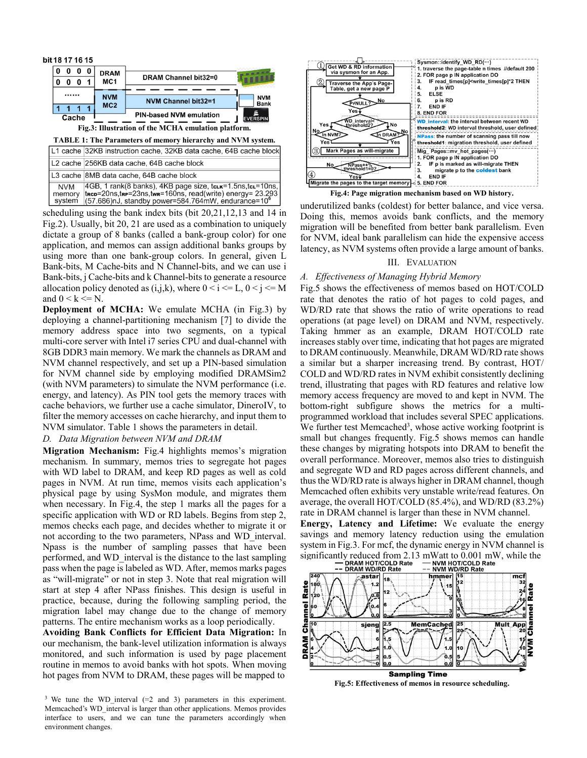

scheduling using the bank index bits (bit 20,21,12,13 and 14 in Fig.2). Usually, bit 20, 21 are used as a combination to uniquely dictate a group of 8 banks (called a bank-group color) for one application, and memos can assign additional banks groups by using more than one bank-group colors. In general, given L Bank-bits, M Cache-bits and N Channel-bits, and we can use i Bank-bits, j Cache-bits and k Channel-bits to generate a resource allocation policy denoted as  $(i,j,k)$ , where  $0 \le i \le L$ ,  $0 \le j \le M$ and  $0 < k \leq N$ .

**Deployment of MCHA:** We emulate MCHA (in Fig.3) by deploying a channel-partitioning mechanism [7] to divide the memory address space into two segments, on a typical multi-core server with Intel i7 series CPU and dual-channel with 8GB DDR3 main memory. We mark the channels as DRAM and NVM channel respectively, and set up a PIN-based simulation for NVM channel side by employing modified DRAMSim2 (with NVM parameters) to simulate the NVM performance (i.e. energy, and latency). As PIN tool gets the memory traces with cache behaviors, we further use a cache simulator, DineroIV, to filter the memory accesses on cache hierarchy, and input them to NVM simulator. Table 1 shows the parameters in detail.

#### *D. Data Migration between NVM and DRAM*

**Migration Mechanism:** Fig.4 highlights memos's migration mechanism. In summary, memos tries to segregate hot pages with WD label to DRAM, and keep RD pages as well as cold pages in NVM. At run time, memos visits each application's physical page by using SysMon module, and migrates them when necessary. In Fig.4, the step 1 marks all the pages for a specific application with WD or RD labels. Begins from step 2, memos checks each page, and decides whether to migrate it or not according to the two parameters, NPass and WD\_interval. Npass is the number of sampling passes that have been performed, and WD\_interval is the distance to the last sampling pass when the page is labeled as WD. After, memos marks pages as "will-migrate" or not in step 3. Note that real migration will start at step 4 after NPass finishes. This design is useful in practice, because, during the following sampling period, the migration label may change due to the change of memory patterns. The entire mechanism works as a loop periodically.

**Avoiding Bank Conflicts for Efficient Data Migration:** In our mechanism, the bank-level utilization information is always monitored, and such information is used by page placement routine in memos to avoid banks with hot spots. When moving hot pages from NVM to DRAM, these pages will be mapped to



**Fig.4: Page migration mechanism based on WD history.**

underutilized banks (coldest) for better balance, and vice versa. Doing this, memos avoids bank conflicts, and the memory migration will be benefited from better bank parallelism. Even for NVM, ideal bank parallelism can hide the expensive access latency, as NVM systems often provide a large amount of banks.

#### III. EVALUATION

#### *A. Effectiveness of Managing Hybrid Memory*

Fig.5 shows the effectiveness of memos based on HOT/COLD rate that denotes the ratio of hot pages to cold pages, and WD/RD rate that shows the ratio of write operations to read operations (at page level) on DRAM and NVM, respectively. Taking hmmer as an example, DRAM HOT/COLD rate increases stably over time, indicating that hot pages are migrated to DRAM continuously. Meanwhile, DRAM WD/RD rate shows a similar but a sharper increasing trend. By contrast, HOT/ COLD and WD/RD rates in NVM exhibit consistently declining trend, illustrating that pages with RD features and relative low memory access frequency are moved to and kept in NVM. The bottom-right subfigure shows the metrics for a multiprogrammed workload that includes several SPEC applications. We further test Memcached<sup>3</sup>, whose active working footprint is small but changes frequently. Fig.5 shows memos can handle these changes by migrating hotspots into DRAM to benefit the overall performance. Moreover, memos also tries to distinguish and segregate WD and RD pages across different channels, and thus the WD/RD rate is always higher in DRAM channel, though Memcached often exhibits very unstable write/read features. On average, the overall HOT/COLD (85.4%), and WD/RD (83.2%) rate in DRAM channel is larger than these in NVM channel. **Energy, Latency and Lifetime:** We evaluate the energy

savings and memory latency reduction using the emulation system in Fig.3. For mcf, the dynamic energy in NVM channel is significantly reduced from 2.13 mWatt to  $0.001$  mW, while the<br>  $\frac{1}{2}$  DRAM HOT/COLD Rate  $\frac{1}{2}$  NVM HOT/COLD Rate<br>  $\frac{1}{2}$  DRAM WD/RD Rate  $\frac{1}{2}$  NVM WD/RD Rate



**Fig.5: Effectiveness of memos in resource scheduling.**

<sup>&</sup>lt;sup>3</sup> We tune the WD interval  $(=2 \text{ and } 3)$  parameters in this experiment. Memcached's WD\_interval is larger than other applications. Memos provides interface to users, and we can tune the parameters accordingly when environment changes.